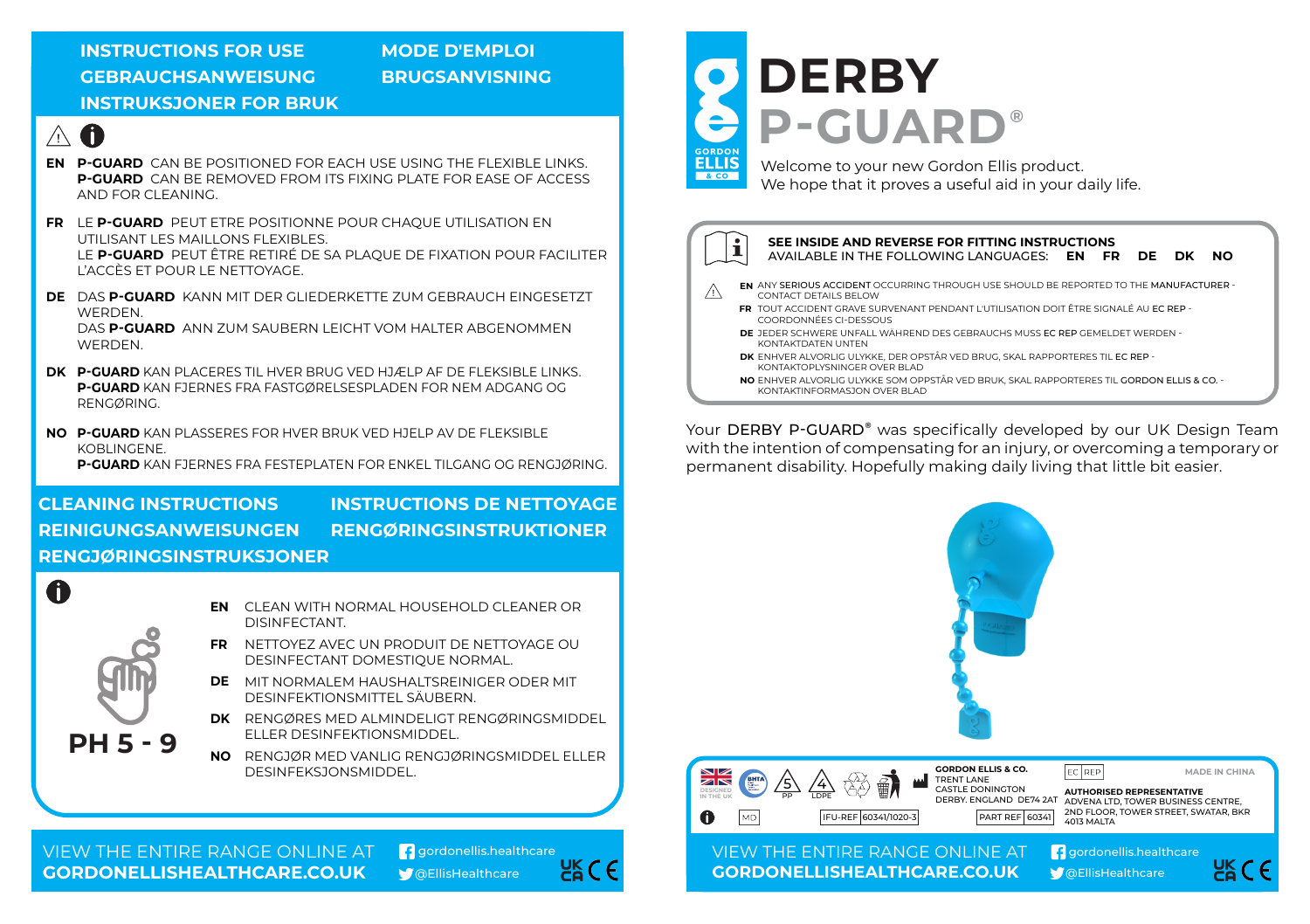### **INSTRUCTIONS FOR USE GEBRAUCHSANWEISUNG BRUGSANVISNING INSTRUKSJONER FOR BRUK**

# **MODE D'EMPLOI**



- **P-GUARD** CAN BE POSITIONED FOR EACH USE USING THE FLEXIBLE LINKS. **EN P-GUARD** CAN BE REMOVED FROM ITS FIXING PLATE FOR EASE OF ACCESS AND FOR CLEANING.
- **FR** LE **P-GUARD** PEUT ETRE POSITIONNE POUR CHAQUE UTILISATION EN UTILISANT LES MAILLONS FLEXIBLES. LE **P-GUARD** PEUT ÊTRE RETIRÉ DE SA PLAQUE DE FIXATION POUR FACILITER L'ACCÈS ET POUR LE NETTOYAGE.
- **DE** DAS **P-GUARD** KANN MIT DER GLIEDERKETTE ZUM GEBRAUCH EINGESETZT **WERDEN** DAS **P-GUARD** ANN ZUM SAUBERN LEICHT VOM HALTER ABGENOMMEN **WERDEN**
- **DK P-GUARD** KAN PLACERES TIL HVER BRUG VED HJÆLP AF DE FLEKSIBLE LINKS. **P-GUARD** KAN FJERNES FRA FASTGØRELSESPLADEN FOR NEM ADGANG OG RENGØRING.
- **NO P-GUARD** KAN PLASSERES FOR HVER BRUK VED HJELP AV DE FLEKSIBLE KOBLINGENE.

**P-GUARD** KAN FJERNES FRA FESTEPLATEN FOR ENKEL TILGANG OG RENGJØRING.

## **CLEANING INSTRUCTIONS INSTRUCTIONS DE NETTOYAGE REINIGUNGSANWEISUNGEN RENGØRINGSINSTRUKTIONER RENGJØRINGSINSTRUKSJONER**



- **EN** CLEAN WITH NORMAL HOUSEHOLD CLEANER OR DISINFECTANT.
- **FR** NETTOYEZ AVEC UN PRODUIT DE NETTOYAGE OU DESINFECTANT DOMESTIQUE NORMAL.
- MIT NORMALEM HAUSHALTSREINIGER ODER MIT **DE** DESINFEKTIONSMITTEL SÄUBERN.
- **DK** RENGØRES MED ALMINDELIGT RENGØRINGSMIDDEL ELLER DESINFEKTIONSMIDDEL.
- **NO** RENGJØR MED VANLIG RENGJØRINGSMIDDEL ELLER DESINFEKSJONSMIDDEL.





# **DERBY P-GUARD ®**



Welcome to your new Gordon Ellis product. We hope that it proves a useful aid in your daily life.



KONTAKTINFORMASJON OVER BLAD

Your DERBY P-GUARD® was specifically developed by our UK Design Team with the intention of compensating for an injury, or overcoming a temporary or permanent disability. Hopefully making daily living that little bit easier.